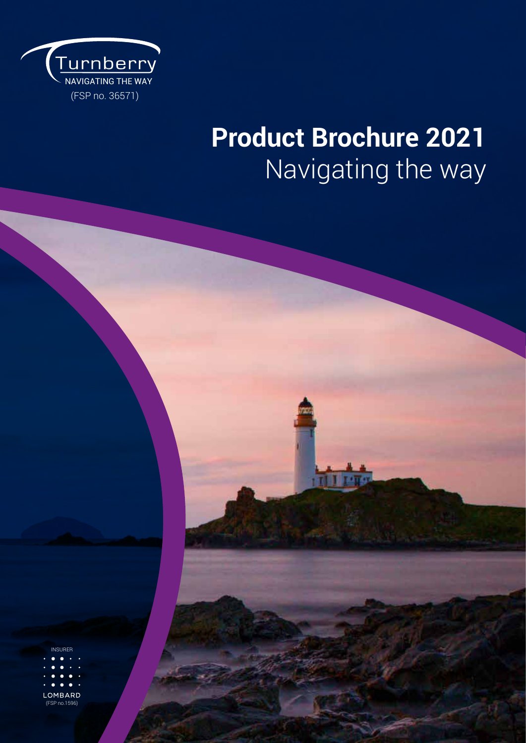

## **Product Brochure 2021** Navigating the way

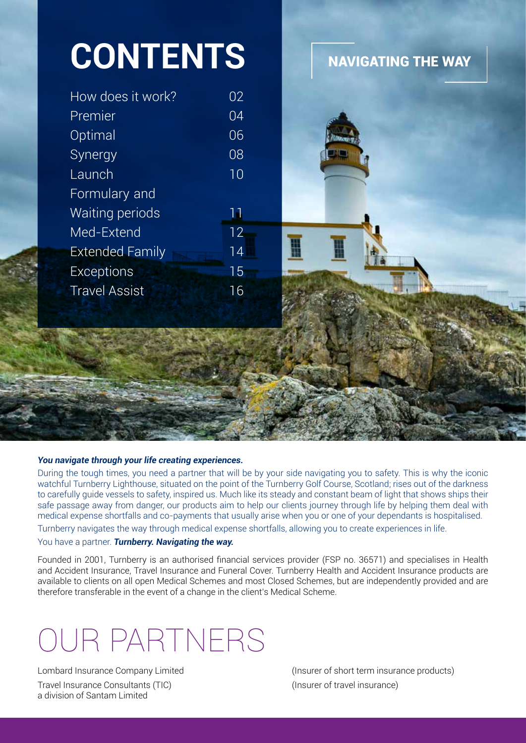| <b>CONTENTS</b>        |                 |                           |
|------------------------|-----------------|---------------------------|
|                        |                 | <b>NAVIGATING THE WAY</b> |
| How does it work?      | 02              |                           |
| Premier                | 04              |                           |
| Optimal                | 06              |                           |
| Synergy                | 08              |                           |
| Launch                 | 10 <sup>°</sup> |                           |
| Formulary and          |                 |                           |
| Waiting periods        | 11              |                           |
| Med-Extend             | $12 -$          |                           |
| <b>Extended Family</b> | 14              |                           |
| <b>Exceptions</b>      | 15 <sub>1</sub> |                           |
| <b>Travel Assist</b>   | 16              |                           |
|                        |                 |                           |
|                        |                 |                           |
|                        |                 |                           |
|                        |                 |                           |
|                        |                 |                           |
|                        |                 |                           |
|                        |                 |                           |

#### *You navigate through your life creating experiences.*

**CONTRACTOR** 

During the tough times, you need a partner that will be by your side navigating you to safety. This is why the iconic watchful Turnberry Lighthouse, situated on the point of the Turnberry Golf Course, Scotland; rises out of the darkness to carefully guide vessels to safety, inspired us. Much like its steady and constant beam of light that shows ships their safe passage away from danger, our products aim to help our clients journey through life by helping them deal with medical expense shortfalls and co-payments that usually arise when you or one of your dependants is hospitalised.

Turnberry navigates the way through medical expense shortfalls, allowing you to create experiences in life.

#### You have a partner. *Turnberry. Navigating the way.*

Founded in 2001, Turnberry is an authorised financial services provider (FSP no. 36571) and specialises in Health and Accident Insurance, Travel Insurance and Funeral Cover. Turnberry Health and Accident Insurance products are available to clients on all open Medical Schemes and most Closed Schemes, but are independently provided and are therefore transferable in the event of a change in the client's Medical Scheme.

## OUR PARTNERS

Travel Insurance Consultants (TIC) (Insurer of travel insurance) a division of Santam Limited

Lombard Insurance Company Limited (Insurer of short term insurance products)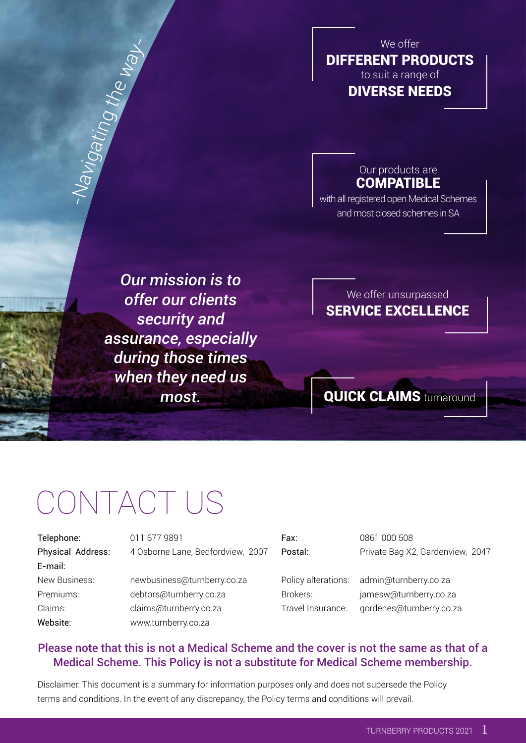#### We offer DIFFERENT PRODUCTS to suit a range of DIVERSE NEEDS

#### Our products are **COMPATIBLE**

with all registered open Medical Schemes and most closed schemes in SA

*Our mission is to offer our clients security and assurance, especially during those times when they need us most.*

#### We offer unsurpassed SERVICE EXCELLENCE

## **QUICK CLAIMS** turnaround

## CONTACT US

E-mail:

-

Navigating

the

way-

Telephone: 011 677 9891 Fax: 0861 000 508 Physical Address: 4 Osborne Lane, Bedfordview, 2007 Postal: Private Bag X2, Gardenview, 2047

New Business: newbusiness@turnberry.co.za Policy alterations: admin@turnberry.co.za Premiums: debtors@turnberry.co.za Brokers: jamesw@turnberry.co.za Claims: claims@turnberry.co.za Travel Insurance: gordenes@turnberry.co.za Website: www.turnberry.co.za

#### Please note that this is not a Medical Scheme and the cover is not the same as that of a Medical Scheme. This Policy is not a substitute for Medical Scheme membership.

Disclaimer: This document is a summary for information purposes only and does not supersede the Policy terms and conditions. In the event of any discrepancy, the Policy terms and conditions will prevail.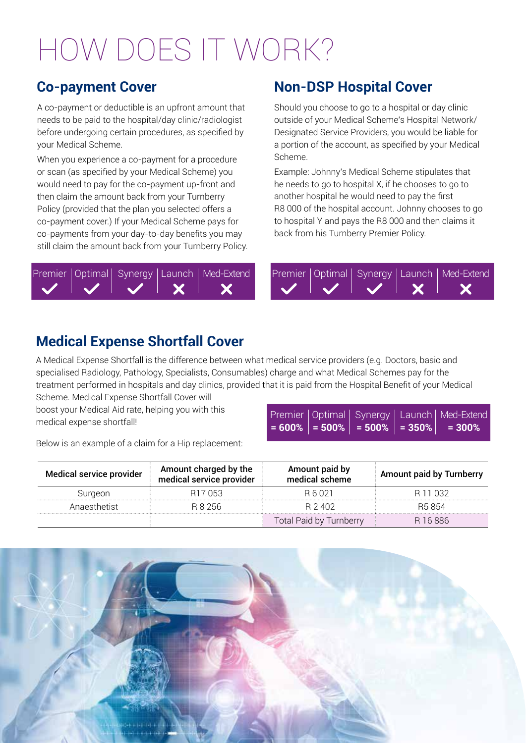## HOW DOES IT WORK?

A co-payment or deductible is an upfront amount that needs to be paid to the hospital/day clinic/radiologist before undergoing certain procedures, as specified by your Medical Scheme.

When you experience a co-payment for a procedure or scan (as specified by your Medical Scheme) you would need to pay for the co-payment up-front and then claim the amount back from your Turnberry Policy (provided that the plan you selected offers a co-payment cover.) If your Medical Scheme pays for co-payments from your day-to-day benefits you may still claim the amount back from your Turnberry Policy.

#### Premier | Optimal | Synergy | Launch | Med-Extend | Remier | Optimal | Synergy Х

### **Co-payment Cover Non-DSP Hospital Cover**

Should you choose to go to a hospital or day clinic outside of your Medical Scheme's Hospital Network/ Designated Service Providers, you would be liable for a portion of the account, as specified by your Medical Scheme.

Example: Johnny's Medical Scheme stipulates that he needs to go to hospital X, if he chooses to go to another hospital he would need to pay the first R8 000 of the hospital account. Johnny chooses to go to hospital Y and pays the R8 000 and then claims it back from his Turnberry Premier Policy.



### **Medical Expense Shortfall Cover**

A Medical Expense Shortfall is the difference between what medical service providers (e.g. Doctors, basic and specialised Radiology, Pathology, Specialists, Consumables) charge and what Medical Schemes pay for the treatment performed in hospitals and day clinics, provided that it is paid from the Hospital Benefit of your Medical Scheme. Medical Expense Shortfall Cover will

boost your Medical Aid rate, helping you with this medical expense shortfall!

Below is an example of a claim for a Hip replacement:

|  |  | Premier   Optimal   Synergy   Launch   Med-Extend          |
|--|--|------------------------------------------------------------|
|  |  | $ $ = 600% $ $ = 500% $ $ = 500% $ $ = 350% $ $ = 300% $ $ |
|  |  |                                                            |

| Medical service provider | Amount charged by the<br>medical service provider | Amount paid by<br>medical scheme | <b>Amount paid by Turnberry</b> |
|--------------------------|---------------------------------------------------|----------------------------------|---------------------------------|
| Suraeon                  | 7 053                                             | B6021                            |                                 |
| Anaesthetist             | R 8 256                                           | R 2 402                          | R5 854                          |
|                          |                                                   | Total Paid by Turnberry          | 6886                            |

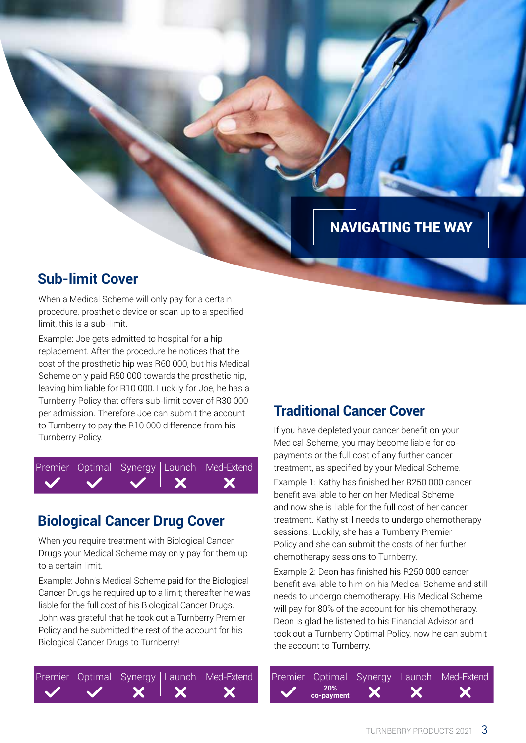### NAVIGATING THE WAY

#### **Sub-limit Cover**

When a Medical Scheme will only pay for a certain procedure, prosthetic device or scan up to a specified limit, this is a sub-limit.

Example: Joe gets admitted to hospital for a hip replacement. After the procedure he notices that the cost of the prosthetic hip was R60 000, but his Medical Scheme only paid R50 000 towards the prosthetic hip, leaving him liable for R10 000. Luckily for Joe, he has a Turnberry Policy that offers sub-limit cover of R30 000 per admission. Therefore Joe can submit the account to Turnberry to pay the R10 000 difference from his Turnberry to pay the KTO 000 difference noming<br>Turnberry Policy.



### **Biological Cancer Drug Cover**

When you require treatment with Biological Cancer Drugs your Medical Scheme may only pay for them up to a certain limit.

Example: John's Medical Scheme paid for the Biological Cancer Drugs he required up to a limit; thereafter he was liable for the full cost of his Biological Cancer Drugs. John was grateful that he took out a Turnberry Premier Policy and he submitted the rest of the account for his Biological Cancer Drugs to Turnberry!



#### **Traditional Cancer Cover**

Medical Scheme, you may become liable for copayments or the full cost of any further cancer treatment, as specified by your Medical Scheme. Example 1: Kathy has finished her R250 000 cancer benefit available to her on her Medical Scheme and now she is liable for the full cost of her cancer treatment. Kathy still needs to undergo chemotherapy sessions. Luckily, she has a Turnberry Premier Policy and she can submit the costs of her further chemotherapy sessions to Turnberry.

Example 2: Deon has finished his R250 000 cancer benefit available to him on his Medical Scheme and still needs to undergo chemotherapy. His Medical Scheme will pay for 80% of the account for his chemotherapy. Deon is glad he listened to his Financial Advisor and took out a Turnberry Optimal Policy, now he can submit the account to Turnberry.

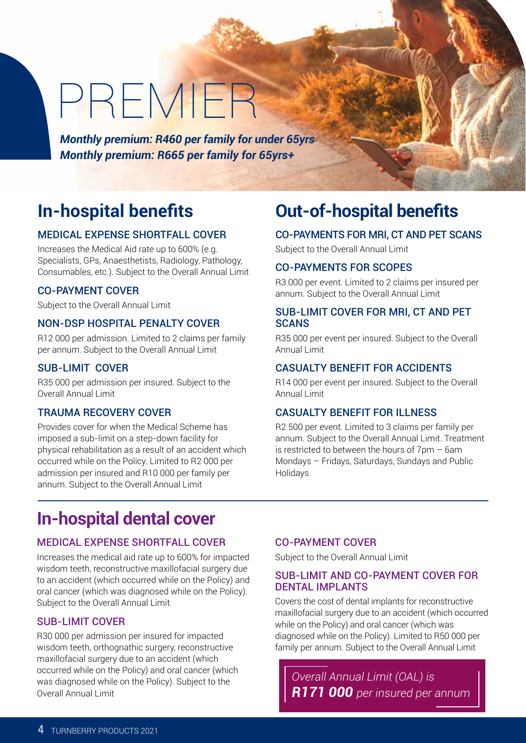## PREMIER

*Monthly premium: R460 per family for under 65yrs Monthly premium: R665 per family for 65yrs+*

#### MEDICAL EXPENSE SHORTFALL COVER

Increases the Medical Aid rate up to 600% (e.g. Specialists, GPs, Anaesthetists, Radiology, Pathology, Consumables, etc.). Subject to the Overall Annual Limit

#### CO-PAYMENT COVER

Subject to the Overall Annual Limit

#### NON-DSP HOSPITAL PENALTY COVER

R12 000 per admission. Limited to 2 claims per family per annum. Subject to the Overall Annual Limit

#### SUB-LIMIT COVER

R35 000 per admission per insured. Subject to the Overall Annual Limit

#### TRAUMA RECOVERY COVER

Provides cover for when the Medical Scheme has imposed a sub-limit on a step-down facility for physical rehabilitation as a result of an accident which occurred while on the Policy. Limited to R2 000 per admission per insured and R10 000 per family per annum. Subject to the Overall Annual Limit

## **In-hospital benefits Out-of-hospital benefits**

#### CO-PAYMENTS FOR MRI, CT AND PET SCANS

Subject to the Overall Annual Limit

#### CO-PAYMENTS FOR SCOPES

R3 000 per event. Limited to 2 claims per insured per annum. Subject to the Overall Annual Limit

#### SUB-LIMIT COVER FOR MRI, CT AND PET **SCANS**

R35 000 per event per insured. Subject to the Overall Annual Limit

#### CASUALTY BENEFIT FOR ACCIDENTS

R14 000 per event per insured. Subject to the Overall Annual Limit

#### CASUALTY BENEFIT FOR ILLNESS

R2 500 per event. Limited to 3 claims per family per annum. Subject to the Overall Annual Limit. Treatment is restricted to between the hours of 7pm – 6am Mondays – Fridays, Saturdays, Sundays and Public Holidays

### **In-hospital dental cover**

#### MEDICAL EXPENSE SHORTFALL COVER

Increases the medical aid rate up to 600% for impacted wisdom teeth, reconstructive maxillofacial surgery due to an accident (which occurred while on the Policy) and oral cancer (which was diagnosed while on the Policy). Subject to the Overall Annual Limit

#### SUB-LIMIT COVER

R30 000 per admission per insured for impacted wisdom teeth, orthognathic surgery, reconstructive maxillofacial surgery due to an accident (which occurred while on the Policy) and oral cancer (which was diagnosed while on the Policy). Subject to the Overall Annual Limit

#### CO-PAYMENT COVER

Subject to the Overall Annual Limit

#### SUB-LIMIT AND CO-PAYMENT COVER FOR DENTAL IMPLANTS

Covers the cost of dental implants for reconstructive maxillofacial surgery due to an accident (which occurred while on the Policy) and oral cancer (which was diagnosed while on the Policy). Limited to R50 000 per family per annum. Subject to the Overall Annual Limit

*Overall Annual Limit (OAL) is R171 000 per insured per annum*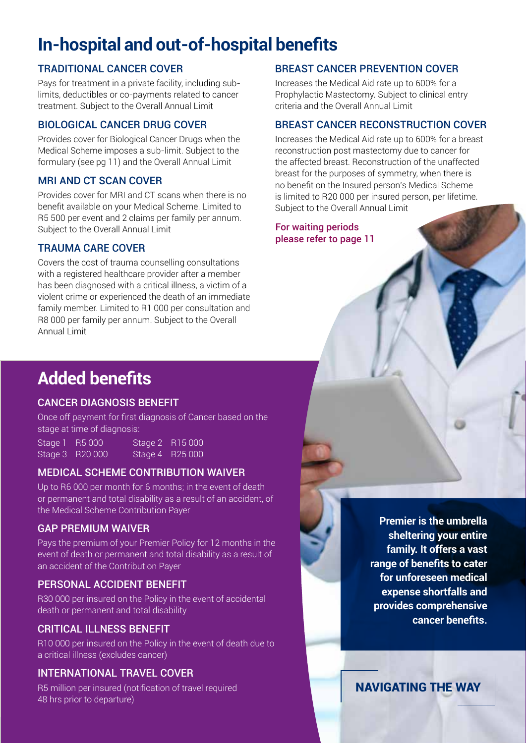## **In-hospital and out-of-hospital benefits**

#### TRADITIONAL CANCER COVER

Pays for treatment in a private facility, including sublimits, deductibles or co-payments related to cancer treatment. Subject to the Overall Annual Limit

#### BIOLOGICAL CANCER DRUG COVER

Provides cover for Biological Cancer Drugs when the Medical Scheme imposes a sub-limit. Subject to the formulary (see pg 11) and the Overall Annual Limit

#### MRI AND CT SCAN COVER

Provides cover for MRI and CT scans when there is no benefit available on your Medical Scheme. Limited to R5 500 per event and 2 claims per family per annum. Subject to the Overall Annual Limit

#### TRAUMA CARE COVER

Covers the cost of trauma counselling consultations with a registered healthcare provider after a member has been diagnosed with a critical illness, a victim of a violent crime or experienced the death of an immediate family member. Limited to R1 000 per consultation and R8 000 per family per annum. Subject to the Overall Annual Limit

#### BREAST CANCER PREVENTION COVER

Increases the Medical Aid rate up to 600% for a Prophylactic Mastectomy. Subject to clinical entry criteria and the Overall Annual Limit

#### BREAST CANCER RECONSTRUCTION COVER

Increases the Medical Aid rate up to 600% for a breast reconstruction post mastectomy due to cancer for the affected breast. Reconstruction of the unaffected breast for the purposes of symmetry, when there is no benefit on the Insured person's Medical Scheme is limited to R20 000 per insured person, per lifetime. Subject to the Overall Annual Limit

For waiting periods please refer to page 11

## **Added benefits**

#### CANCER DIAGNOSIS BENEFIT

Once off payment for first diagnosis of Cancer based on the stage at time of diagnosis:

Stage 1 R5 000 Stage 2 R15 000 Stage 3 R20 000 Stage 4 R25 000

#### MEDICAL SCHEME CONTRIBUTION WAIVER

Up to R6 000 per month for 6 months; in the event of death or permanent and total disability as a result of an accident, of the Medical Scheme Contribution Payer

#### GAP PREMIUM WAIVER

Pays the premium of your Premier Policy for 12 months in the event of death or permanent and total disability as a result of an accident of the Contribution Payer

#### PERSONAL ACCIDENT BENEFIT

R30 000 per insured on the Policy in the event of accidental death or permanent and total disability

#### CRITICAL ILLNESS BENEFIT

R10 000 per insured on the Policy in the event of death due to a critical illness (excludes cancer)

#### INTERNATIONAL TRAVEL COVER

R5 million per insured (notification of travel required 48 hrs prior to departure)



NAVIGATING THE WAY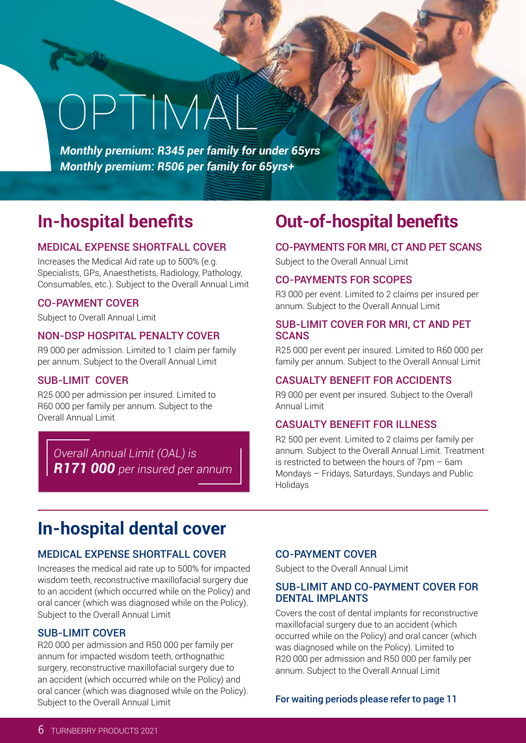# OPTIMAL

*Monthly premium: R345 per family for under 65yrs Monthly premium: R506 per family for 65yrs+* 

#### MEDICAL EXPENSE SHORTFALL COVER

Increases the Medical Aid rate up to 500% (e.g. Specialists, GPs, Anaesthetists, Radiology, Pathology, Consumables, etc.). Subject to the Overall Annual Limit

#### CO-PAYMENT COVER

Subject to Overall Annual Limit

#### NON-DSP HOSPITAL PENALTY COVER

R9 000 per admission. Limited to 1 claim per family per annum. Subject to the Overall Annual Limit

#### SUB-LIMIT COVER

R25 000 per admission per insured. Limited to R60 000 per family per annum. Subject to the Overall Annual Limit

*Overall Annual Limit (OAL) is R171 000 per insured per annum*

### **In-hospital benefits Out-of-hospital benefits**

#### CO-PAYMENTS FOR MRI, CT AND PET SCANS

Subject to the Overall Annual Limit

#### CO-PAYMENTS FOR SCOPES

R3 000 per event. Limited to 2 claims per insured per annum. Subject to the Overall Annual Limit

#### SUB-LIMIT COVER FOR MRI, CT AND PET **SCANS**

R25 000 per event per insured. Limited to R60 000 per family per annum. Subject to the Overall Annual Limit

#### CASUALTY BENEFIT FOR ACCIDENTS

R9 000 per event per insured. Subject to the Overall Annual Limit

#### CASUALTY BENEFIT FOR ILLNESS

R2 500 per event. Limited to 2 claims per family per annum. Subject to the Overall Annual Limit. Treatment is restricted to between the hours of 7pm – 6am Mondays – Fridays, Saturdays, Sundays and Public **Holidays** 

## **In-hospital dental cover**

#### MEDICAL EXPENSE SHORTFALL COVER

Increases the medical aid rate up to 500% for impacted wisdom teeth, reconstructive maxillofacial surgery due to an accident (which occurred while on the Policy) and oral cancer (which was diagnosed while on the Policy). Subject to the Overall Annual Limit

#### SUB-LIMIT COVER

R20 000 per admission and R50 000 per family per annum for impacted wisdom teeth, orthognathic surgery, reconstructive maxillofacial surgery due to an accident (which occurred while on the Policy) and oral cancer (which was diagnosed while on the Policy). Subject to the Overall Annual Limit

#### CO-PAYMENT COVER

Subject to the Overall Annual Limit

#### SUB-LIMIT AND CO-PAYMENT COVER FOR DENTAL IMPLANTS

Covers the cost of dental implants for reconstructive maxillofacial surgery due to an accident (which occurred while on the Policy) and oral cancer (which was diagnosed while on the Policy). Limited to R20 000 per admission and R50 000 per family per annum. Subject to the Overall Annual Limit

#### For waiting periods please refer to page 11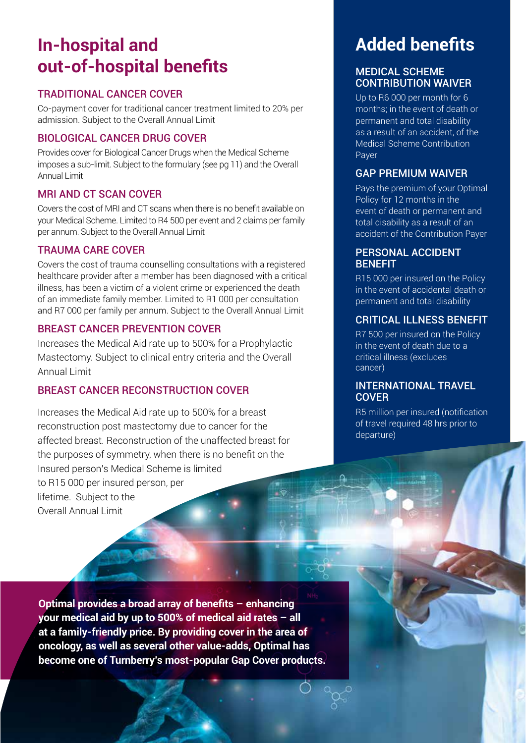## **In-hospital and out-of-hospital benefits**

#### TRADITIONAL CANCER COVER

Co-payment cover for traditional cancer treatment limited to 20% per admission. Subject to the Overall Annual Limit

#### BIOLOGICAL CANCER DRUG COVER

Provides cover for Biological Cancer Drugs when the Medical Scheme imposes a sub-limit. Subject to the formulary (see pg 11) and the Overall Annual Limit

#### MRI AND CT SCAN COVER

Covers the cost of MRI and CT scans when there is no benefit available on your Medical Scheme. Limited to R4 500 per event and 2 claims per family per annum. Subject to the Overall Annual Limit

#### TRAUMA CARE COVER

Covers the cost of trauma counselling consultations with a registered healthcare provider after a member has been diagnosed with a critical illness, has been a victim of a violent crime or experienced the death of an immediate family member. Limited to R1 000 per consultation and R7 000 per family per annum. Subject to the Overall Annual Limit

#### BREAST CANCER PREVENTION COVER

Increases the Medical Aid rate up to 500% for a Prophylactic Mastectomy. Subject to clinical entry criteria and the Overall Annual Limit

#### BREAST CANCER RECONSTRUCTION COVER

Increases the Medical Aid rate up to 500% for a breast reconstruction post mastectomy due to cancer for the affected breast. Reconstruction of the unaffected breast for the purposes of symmetry, when there is no benefit on the Insured person's Medical Scheme is limited to R15 000 per insured person, per lifetime. Subject to the Overall Annual Limit

## **Added benefits**

#### MEDICAL SCHEME CONTRIBUTION WAIVER

Up to R6 000 per month for 6 months; in the event of death or permanent and total disability as a result of an accident, of the Medical Scheme Contribution Payer

#### GAP PREMIUM WAIVER

Pays the premium of your Optimal Policy for 12 months in the event of death or permanent and total disability as a result of an accident of the Contribution Payer

#### PERSONAL ACCIDENT **BENEFIT**

R15 000 per insured on the Policy in the event of accidental death or permanent and total disability

#### CRITICAL ILLNESS BENEFIT

R7 500 per insured on the Policy in the event of death due to a critical illness (excludes cancer)

#### INTERNATIONAL TRAVEL **COVER**

R5 million per insured (notification of travel required 48 hrs prior to departure)

TURNBERRY PRODUCTS 2021 **7**

**Optimal provides a broad array of benefits – enhancing your medical aid by up to 500% of medical aid rates – all at a family-friendly price. By providing cover in the area of oncology, as well as several other value-adds, Optimal has become one of Turnberry's most-popular Gap Cover products.**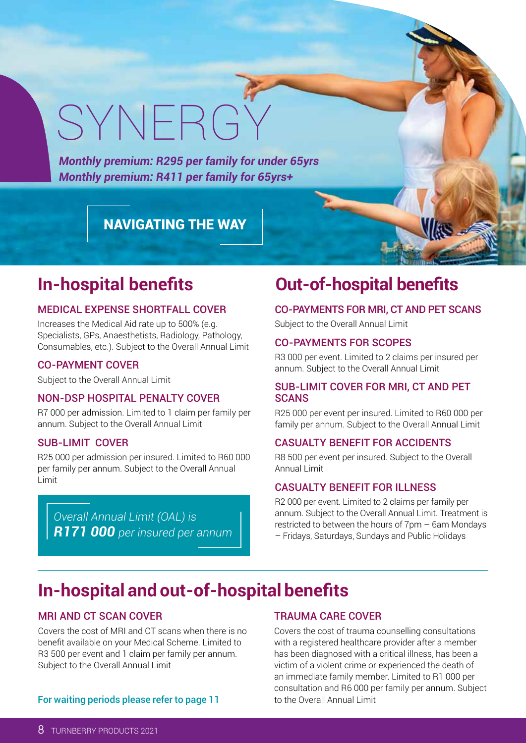# SYNERGY

*Monthly premium: R295 per family for under 65yrs Monthly premium: R411 per family for 65yrs+* 

#### NAVIGATING THE WAY

### **In-hospital benefits**

#### MEDICAL EXPENSE SHORTFALL COVER

Increases the Medical Aid rate up to 500% (e.g. Specialists, GPs, Anaesthetists, Radiology, Pathology, Consumables, etc.). Subject to the Overall Annual Limit

#### CO-PAYMENT COVER

Subject to the Overall Annual Limit

#### NON-DSP HOSPITAL PENALTY COVER

R7 000 per admission. Limited to 1 claim per family per annum. Subject to the Overall Annual Limit

#### SUB-LIMIT COVER

R25 000 per admission per insured. Limited to R60 000 per family per annum. Subject to the Overall Annual Limit

*Overall Annual Limit (OAL) is R171 000 per insured per annum*

### **Out-of-hospital benefits**

#### CO-PAYMENTS FOR MRI, CT AND PET SCANS

Subject to the Overall Annual Limit

#### CO-PAYMENTS FOR SCOPES

R3 000 per event. Limited to 2 claims per insured per annum. Subject to the Overall Annual Limit

#### SUB-LIMIT COVER FOR MRI, CT AND PET **SCANS**

R25 000 per event per insured. Limited to R60 000 per family per annum. Subject to the Overall Annual Limit

#### CASUALTY BENEFIT FOR ACCIDENTS

R8 500 per event per insured. Subject to the Overall Annual Limit

#### CASUALTY BENEFIT FOR ILLNESS

R2 000 per event. Limited to 2 claims per family per annum. Subject to the Overall Annual Limit. Treatment is restricted to between the hours of 7pm – 6am Mondays – Fridays, Saturdays, Sundays and Public Holidays

## **In-hospital and out-of-hospital benefits**

#### MRI AND CT SCAN COVER

Covers the cost of MRI and CT scans when there is no benefit available on your Medical Scheme. Limited to R3 500 per event and 1 claim per family per annum. Subject to the Overall Annual Limit

#### TRAUMA CARE COVER

Covers the cost of trauma counselling consultations with a registered healthcare provider after a member has been diagnosed with a critical illness, has been a victim of a violent crime or experienced the death of an immediate family member. Limited to R1 000 per consultation and R6 000 per family per annum. Subject to the Overall Annual Limit

For waiting periods please refer to page 11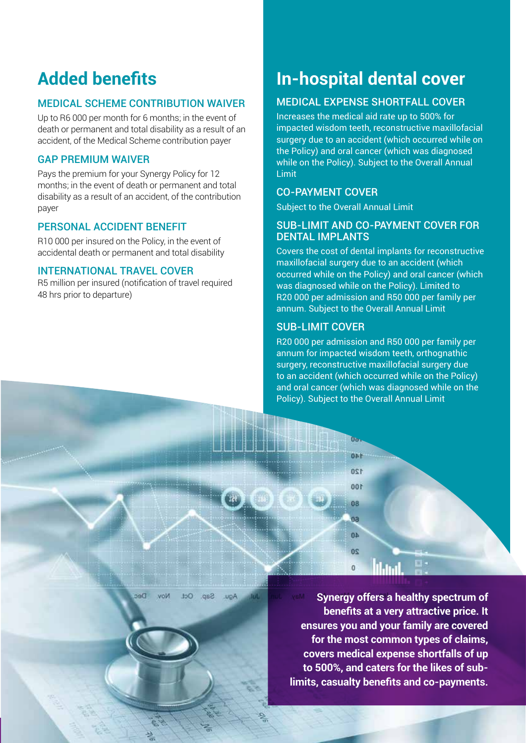## **Added benefits**

#### MEDICAL SCHEME CONTRIBUTION WAIVER

Up to R6 000 per month for 6 months; in the event of death or permanent and total disability as a result of an accident, of the Medical Scheme contribution payer

#### GAP PREMIUM WAIVER

Pays the premium for your Synergy Policy for 12 months; in the event of death or permanent and total disability as a result of an accident, of the contribution payer

#### PERSONAL ACCIDENT BENEFIT

R10 000 per insured on the Policy, in the event of accidental death or permanent and total disability

#### INTERNATIONAL TRAVEL COVER

R5 million per insured (notification of travel required 48 hrs prior to departure)

**Dec** 

**VOM** 

 $InC$ 

 $cos<sub>2</sub>$ 

**UDA** 

## **In-hospital dental cover**

#### MEDICAL EXPENSE SHORTFALL COVER

Increases the medical aid rate up to 500% for impacted wisdom teeth, reconstructive maxillofacial surgery due to an accident (which occurred while on the Policy) and oral cancer (which was diagnosed while on the Policy). Subject to the Overall Annual Limit

#### CO-PAYMENT COVER

Subject to the Overall Annual Limit

#### SUB-LIMIT AND CO-PAYMENT COVER FOR DENTAL IMPLANTS

Covers the cost of dental implants for reconstructive maxillofacial surgery due to an accident (which occurred while on the Policy) and oral cancer (which was diagnosed while on the Policy). Limited to R20 000 per admission and R50 000 per family per annum. Subject to the Overall Annual Limit

#### SUB-LIMIT COVER

R20 000 per admission and R50 000 per family per annum for impacted wisdom teeth, orthognathic surgery, reconstructive maxillofacial surgery due to an accident (which occurred while on the Policy) and oral cancer (which was diagnosed while on the Policy). Subject to the Overall Annual Limit



**Synergy offers a healthy spectrum of benefits at a very attractive price. It ensures you and your family are covered for the most common types of claims, covers medical expense shortfalls of up to 500%, and caters for the likes of sublimits, casualty benefits and co-payments.**

TURNBERRY PRODUCTS 2021 **9**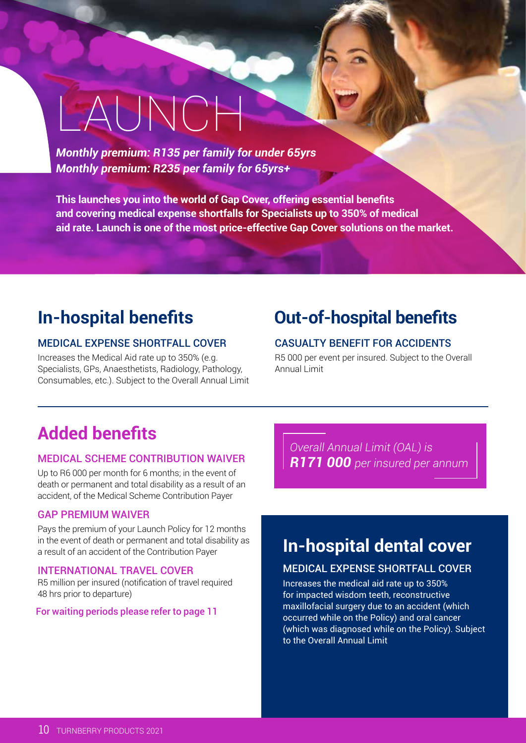# LAUNCH

*Monthly premium: R135 per family for under 65yrs Monthly premium: R235 per family for 65yrs+* 

**This launches you into the world of Gap Cover, offering essential benefits and covering medical expense shortfalls for Specialists up to 350% of medical aid rate. Launch is one of the most price-effective Gap Cover solutions on the market.**

## **In-hospital benefits**

#### MEDICAL EXPENSE SHORTFALL COVER

Increases the Medical Aid rate up to 350% (e.g. Specialists, GPs, Anaesthetists, Radiology, Pathology, Consumables, etc.). Subject to the Overall Annual Limit

## **Out-of-hospital benefits**

#### CASUALTY BENEFIT FOR ACCIDENTS

R5 000 per event per insured. Subject to the Overall Annual Limit

## **Added benefits**

#### MEDICAL SCHEME CONTRIBUTION WAIVER

Up to R6 000 per month for 6 months; in the event of death or permanent and total disability as a result of an accident, of the Medical Scheme Contribution Payer

#### GAP PREMIUM WAIVER

Pays the premium of your Launch Policy for 12 months in the event of death or permanent and total disability as a result of an accident of the Contribution Payer

#### INTERNATIONAL TRAVEL COVER

R5 million per insured (notification of travel required 48 hrs prior to departure)

#### For waiting periods please refer to page 11

*Overall Annual Limit (OAL) is R171 000 per insured per annum*

## **In-hospital dental cover**

#### MEDICAL EXPENSE SHORTFALL COVER

Increases the medical aid rate up to 350% for impacted wisdom teeth, reconstructive maxillofacial surgery due to an accident (which occurred while on the Policy) and oral cancer (which was diagnosed while on the Policy). Subject to the Overall Annual Limit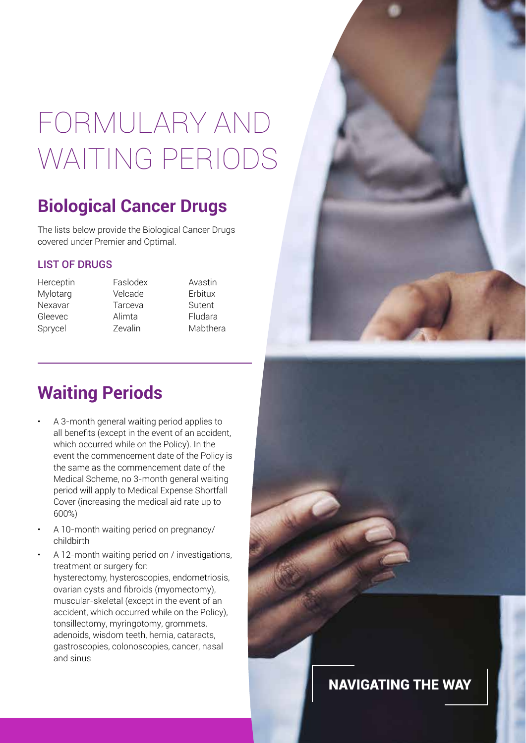## FORMULARY AND WAITING PERIODS

## **Biological Cancer Drugs**

The lists below provide the Biological Cancer Drugs covered under Premier and Optimal.

#### LIST OF DRUGS

- Herceptin Mylotarg Nexavar Gleevec Sprycel
- Faslodex Velcade Tarceva Alimta Zevalin

Avastin Erbitux Sutent Fludara Mabthera

NAVIGATING THE WAY

## **Waiting Periods**

- A 3-month general waiting period applies to all benefits (except in the event of an accident, which occurred while on the Policy). In the event the commencement date of the Policy is the same as the commencement date of the Medical Scheme, no 3-month general waiting period will apply to Medical Expense Shortfall Cover (increasing the medical aid rate up to 600%)
- A 10-month waiting period on pregnancy/ childbirth
- A 12-month waiting period on / investigations, treatment or surgery for: hysterectomy, hysteroscopies, endometriosis, ovarian cysts and fibroids (myomectomy), muscular-skeletal (except in the event of an accident, which occurred while on the Policy), tonsillectomy, myringotomy, grommets, adenoids, wisdom teeth, hernia, cataracts, gastroscopies, colonoscopies, cancer, nasal and sinus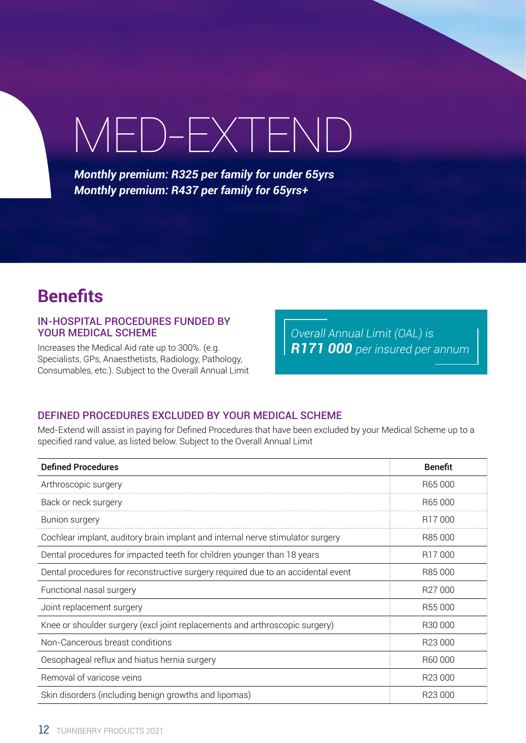## MED-EXTEND

*Monthly premium: R325 per family for under 65yrs Monthly premium: R437 per family for 65yrs+* 

## **Benefits**

#### IN-HOSPITAL PROCEDURES FUNDED BY YOUR MEDICAL SCHEME

Increases the Medical Aid rate up to 300%. (e.g. Specialists, GPs, Anaesthetists, Radiology, Pathology, Consumables, etc.). Subject to the Overall Annual Limit

*Overall Annual Limit (OAL) is R171 000 per insured per annum*

#### DEFINED PROCEDURES EXCLUDED BY YOUR MEDICAL SCHEME

Med-Extend will assist in paying for Defined Procedures that have been excluded by your Medical Scheme up to a specified rand value, as listed below. Subject to the Overall Annual Limit

| <b>Defined Procedures</b>                                                        | <b>Benefit</b>      |
|----------------------------------------------------------------------------------|---------------------|
| Arthroscopic surgery                                                             | R65000              |
| Back or neck surgery                                                             | R65000              |
| Bunion surgery                                                                   | R <sub>17</sub> 000 |
| Cochlear implant, auditory brain implant and internal nerve stimulator surgery   | R85 000             |
| Dental procedures for impacted teeth for children younger than 18 years          | R17000              |
| Dental procedures for reconstructive surgery required due to an accidental event | R85 000             |
| Functional nasal surgery                                                         | R27000              |
| Joint replacement surgery                                                        | R55000              |
| Knee or shoulder surgery (excl joint replacements and arthroscopic surgery)      | R30 000             |
| Non-Cancerous breast conditions                                                  | R23 000             |
| Oesophageal reflux and hiatus hernia surgery                                     | R60 000             |
| Removal of varicose veins                                                        | R23 000             |
| Skin disorders (including benign growths and lipomas)                            | R <sub>23</sub> 000 |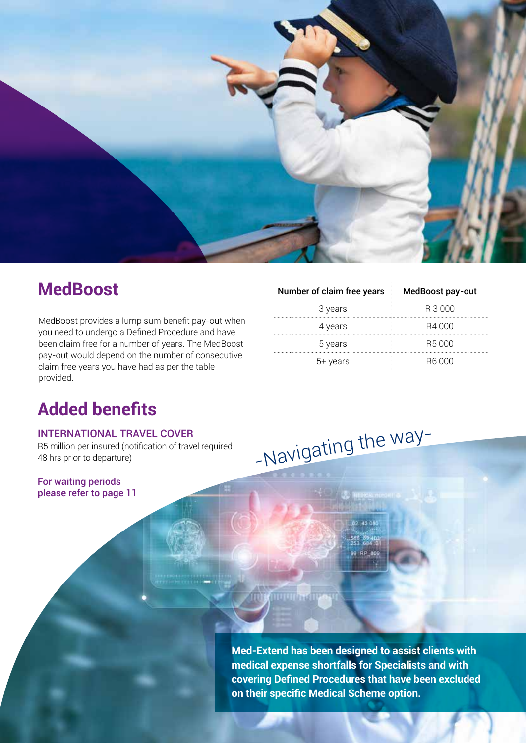

## **MedBoost**

MedBoost provides a lump sum benefit pay-out when you need to undergo a Defined Procedure and have been claim free for a number of years. The MedBoost pay-out would depend on the number of consecutive claim free years you have had as per the table provided.

| Number of claim free years | MedBoost pay-out |
|----------------------------|------------------|
| 3 years                    | R 3 000          |
| 4 years                    | B4 000           |
| 5 years                    | B5 000           |
| 5+ years                   | B6 000           |

## **Added benefits**

#### INTERNATIONAL TRAVEL COVER

R5 million per insured (notification of travel required 48 hrs prior to departure)

For waiting periods please refer to page 11

> **Med-Extend has been designed to assist clients with medical expense shortfalls for Specialists and with covering Defined Procedures that have been excluded on their specific Medical Scheme option.**

-Navigatin<sup>g</sup> <sup>t</sup>h<sup>e</sup> <sup>w</sup>ay-

TURNBERRY PRODUCTS 2021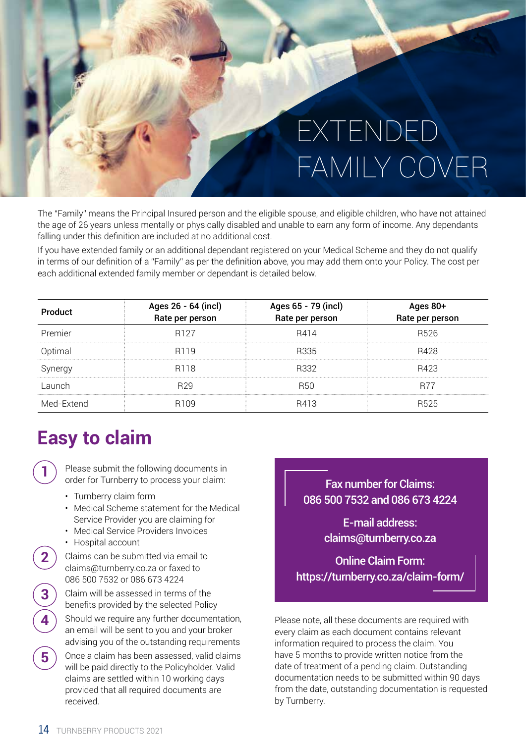## EXTENDED FAMILY COVER

The "Family" means the Principal Insured person and the eligible spouse, and eligible children, who have not attained the age of 26 years unless mentally or physically disabled and unable to earn any form of income. Any dependants falling under this definition are included at no additional cost.

If you have extended family or an additional dependant registered on your Medical Scheme and they do not qualify in terms of our definition of a "Family" as per the definition above, you may add them onto your Policy. The cost per each additional extended family member or dependant is detailed below.

| Product    | Ages 26 - 64 (incl)<br>Rate per person | Ages 65 - 79 (incl)<br>Rate per person | Ages 80+<br>Rate per person |
|------------|----------------------------------------|----------------------------------------|-----------------------------|
| Premier    | R <sub>127</sub>                       | R414                                   | R526                        |
| Optimal    | R <sub>119</sub>                       | R335                                   | R428                        |
| Synergy    | R <sub>118</sub>                       | B332                                   | R423                        |
| Launch     | R <sub>29</sub>                        | <b>B50</b>                             | R77                         |
| Med-Extend | R <sub>109</sub>                       | R413                                   | R <sub>525</sub>            |

## **Easy to claim**

**1**

**2**

**4**

Please submit the following documents in order for Turnberry to process your claim:

- Turnberry claim form
- Medical Scheme statement for the Medical Service Provider you are claiming for
- Medical Service Providers Invoices
- Hospital account
- Claims can be submitted via email to claims@turnberry.co.za or faxed to 086 500 7532 or 086 673 4224
- **3** Claim will be assessed in terms of the benefits provided by the selected Policy
	- Should we require any further documentation, an email will be sent to you and your broker advising you of the outstanding requirements
- **5** Once a claim has been assessed, valid claims will be paid directly to the Policyholder. Valid claims are settled within 10 working days provided that all required documents are received.

Fax number for Claims: 086 500 7532 and 086 673 4224

> E-mail address: claims@turnberry.co.za

Online Claim Form: https://turnberry.co.za/claim-form/

Please note, all these documents are required with every claim as each document contains relevant information required to process the claim. You have 5 months to provide written notice from the date of treatment of a pending claim. Outstanding documentation needs to be submitted within 90 days from the date, outstanding documentation is requested by Turnberry.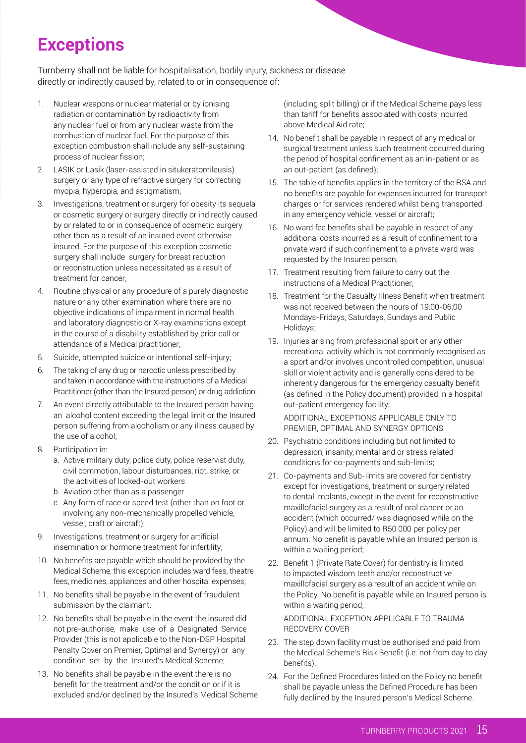## **Exceptions**

Turnberry shall not be liable for hospitalisation, bodily injury, sickness or disease directly or indirectly caused by, related to or in consequence of:

- 1. Nuclear weapons or nuclear material or by ionising radiation or contamination by radioactivity from any nuclear fuel or from any nuclear waste from the combustion of nuclear fuel. For the purpose of this exception combustion shall include any self-sustaining process of nuclear fission;
- 2. LASIK or Lasik (laser-assisted in situkeratomileusis) surgery or any type of refractive surgery for correcting myopia, hyperopia, and astigmatism;
- 3. Investigations, treatment or surgery for obesity its sequela or cosmetic surgery or surgery directly or indirectly caused by or related to or in consequence of cosmetic surgery other than as a result of an insured event otherwise insured. For the purpose of this exception cosmetic surgery shall include surgery for breast reduction or reconstruction unless necessitated as a result of treatment for cancer;
- 4. Routine physical or any procedure of a purely diagnostic nature or any other examination where there are no objective indications of impairment in normal health and laboratory diagnostic or X-ray examinations except in the course of a disability established by prior call or attendance of a Medical practitioner;
- 5. Suicide, attempted suicide or intentional self-injury;
- 6. The taking of any drug or narcotic unless prescribed by and taken in accordance with the instructions of a Medical Practitioner (other than the Insured person) or drug addiction;
- 7. An event directly attributable to the Insured person having an alcohol content exceeding the legal limit or the Insured person suffering from alcoholism or any illness caused by the use of alcohol;
- 8. Participation in:
	- a. Active military duty, police duty, police reservist duty, civil commotion, labour disturbances, riot, strike, or the activities of locked-out workers
	- b. Aviation other than as a passenger
	- c. Any form of race or speed test (other than on foot or involving any non-mechanically propelled vehicle, vessel, craft or aircraft);
- 9. Investigations, treatment or surgery for artificial insemination or hormone treatment for infertility;
- 10. No benefits are payable which should be provided by the Medical Scheme, this exception includes ward fees, theatre fees, medicines, appliances and other hospital expenses;
- 11. No benefits shall be payable in the event of fraudulent submission by the claimant;
- 12. No benefits shall be payable in the event the insured did not pre-authorise, make use of a Designated Service Provider (this is not applicable to the Non-DSP Hospital Penalty Cover on Premier, Optimal and Synergy) or any condition set by the Insured's Medical Scheme;
- 13. No benefits shall be payable in the event there is no benefit for the treatment and/or the condition or if it is excluded and/or declined by the Insured's Medical Scheme

(including split billing) or if the Medical Scheme pays less than tariff for benefits associated with costs incurred above Medical Aid rate;

- 14. No benefit shall be payable in respect of any medical or surgical treatment unless such treatment occurred during the period of hospital confinement as an in-patient or as an out-patient (as defined);
- 15. The table of benefits applies in the territory of the RSA and no benefits are payable for expenses incurred for transport charges or for services rendered whilst being transported in any emergency vehicle, vessel or aircraft;
- 16. No ward fee benefits shall be payable in respect of any additional costs incurred as a result of confinement to a private ward if such confinement to a private ward was requested by the Insured person;
- 17. Treatment resulting from failure to carry out the instructions of a Medical Practitioner;
- 18. Treatment for the Casualty Illness Benefit when treatment was not received between the hours of 19:00-06:00 Mondays-Fridays, Saturdays, Sundays and Public Holidays;
- 19. Injuries arising from professional sport or any other recreational activity which is not commonly recognised as a sport and/or involves uncontrolled competition, unusual skill or violent activity and is generally considered to be inherently dangerous for the emergency casualty benefit (as defined in the Policy document) provided in a hospital out-patient emergency facility;

ADDITIONAL EXCEPTIONS APPLICABLE ONLY TO PREMIER, OPTIMAL AND SYNERGY OPTIONS

- 20. Psychiatric conditions including but not limited to depression, insanity, mental and or stress related conditions for co-payments and sub-limits;
- 21. Co-payments and Sub-limits are covered for dentistry except for investigations, treatment or surgery related to dental implants, except in the event for reconstructive maxillofacial surgery as a result of oral cancer or an accident (which occurred/ was diagnosed while on the Policy) and will be limited to R50 000 per policy per annum. No benefit is payable while an Insured person is within a waiting period;
- 22. Benefit 1 (Private Rate Cover) for dentistry is limited to impacted wisdom teeth and/or reconstructive maxillofacial surgery as a result of an accident while on the Policy. No benefit is payable while an Insured person is within a waiting period;

ADDITIONAL EXCEPTION APPLICABLE TO TRAUMA RECOVERY COVER

- 23. The step down facility must be authorised and paid from the Medical Scheme's Risk Benefit (i.e. not from day to day benefits);
- 24. For the Defined Procedures listed on the Policy no benefit shall be payable unless the Defined Procedure has been fully declined by the Insured person's Medical Scheme.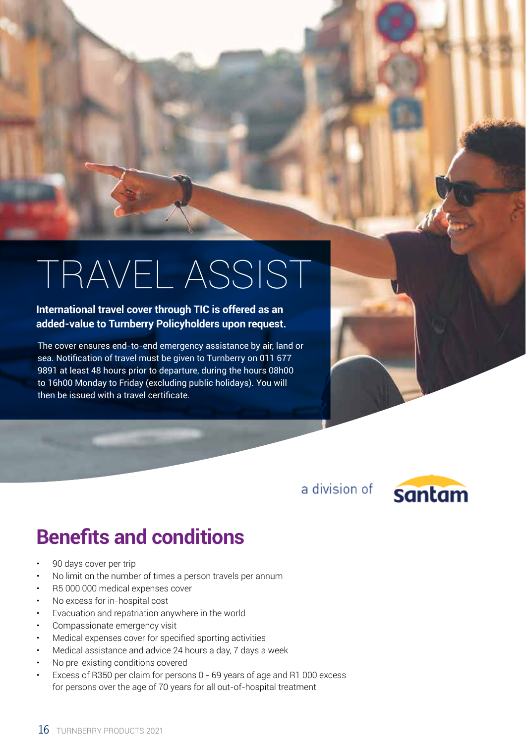## TRAVEL ASSIST

#### **International travel cover through TIC is offered as an added-value to Turnberry Policyholders upon request.**

The cover ensures end-to-end emergency assistance by air, land or sea. Notification of travel must be given to Turnberry on 011 677 9891 at least 48 hours prior to departure, during the hours 08h00 to 16h00 Monday to Friday (excluding public holidays). You will then be issued with a travel certificate.

a division of



## **Benefits and conditions**

- 90 days cover per trip
- No limit on the number of times a person travels per annum
- R5 000 000 medical expenses cover
- No excess for in-hospital cost
- Evacuation and repatriation anywhere in the world
- Compassionate emergency visit
- Medical expenses cover for specified sporting activities
- Medical assistance and advice 24 hours a day, 7 days a week
- No pre-existing conditions covered
- Excess of R350 per claim for persons 0 69 years of age and R1 000 excess for persons over the age of 70 years for all out-of-hospital treatment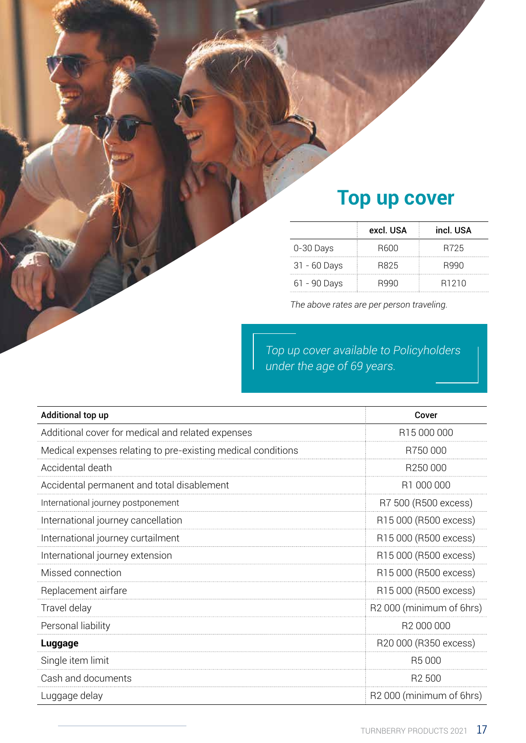## **Top up cover**

|                | excl. USA   | incl. USA         |
|----------------|-------------|-------------------|
| 0-30 Days      | <b>B600</b> | R725              |
| $31 - 60$ Days | R825        | R990              |
| 61 - 90 Days   | R990        | R <sub>1210</sub> |

*The above rates are per person traveling.*

*Top up cover available to Policyholders under the age of 69 years.*

| Additional top up                                            | Cover                                |
|--------------------------------------------------------------|--------------------------------------|
| Additional cover for medical and related expenses            | R15 000 000                          |
| Medical expenses relating to pre-existing medical conditions | R750000                              |
| Accidental death                                             | R <sub>250</sub> 000                 |
| Accidental permanent and total disablement                   | R1 000 000                           |
| International journey postponement                           | R7 500 (R500 excess)                 |
| International journey cancellation                           | R15 000 (R500 excess)                |
| International journey curtailment                            | R15 000 (R500 excess)                |
| International journey extension                              | R15 000 (R500 excess)                |
| Missed connection                                            | R15 000 (R500 excess)                |
| Replacement airfare                                          | R15 000 (R500 excess)                |
| Travel delay                                                 | R2000 (minimum of 6hrs)              |
| Personal liability                                           | R2 000 000                           |
| Luggage                                                      | R20 000 (R350 excess)                |
| Single item limit                                            | R5000                                |
| Cash and documents                                           | R <sub>2</sub> 500                   |
| Luggage delay                                                | R <sub>2</sub> 000 (minimum of 6hrs) |